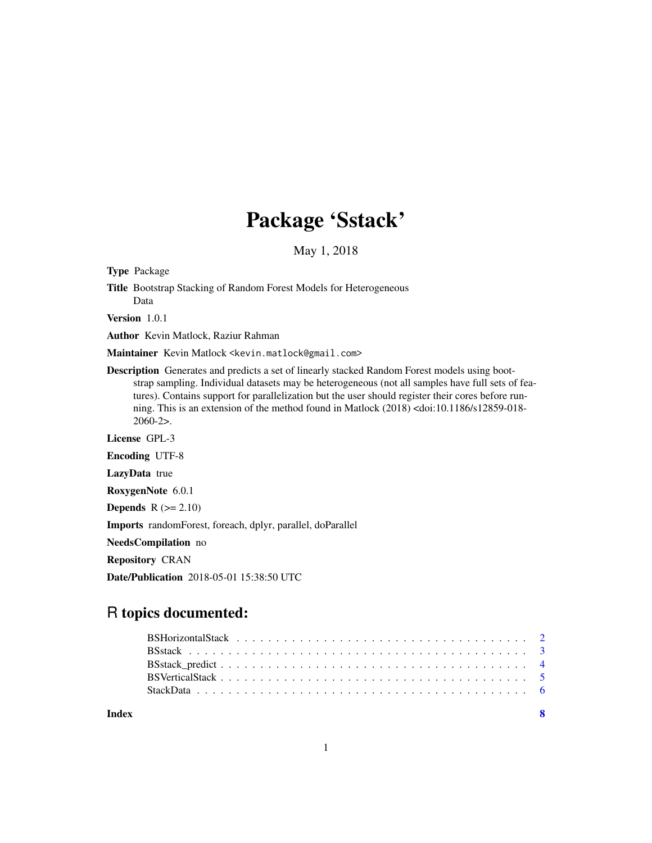## Package 'Sstack'

May 1, 2018

Type Package Title Bootstrap Stacking of Random Forest Models for Heterogeneous Data Version 1.0.1

Author Kevin Matlock, Raziur Rahman

Maintainer Kevin Matlock <kevin.matlock@gmail.com>

Description Generates and predicts a set of linearly stacked Random Forest models using bootstrap sampling. Individual datasets may be heterogeneous (not all samples have full sets of features). Contains support for parallelization but the user should register their cores before running. This is an extension of the method found in Matlock (2018) <doi:10.1186/s12859-018- 2060-2>.

License GPL-3

Encoding UTF-8

LazyData true

RoxygenNote 6.0.1

**Depends**  $R$  ( $>= 2.10$ )

Imports randomForest, foreach, dplyr, parallel, doParallel

NeedsCompilation no

Repository CRAN

Date/Publication 2018-05-01 15:38:50 UTC

### R topics documented:

| Index | $\mathbf{R}$ |  |
|-------|--------------|--|
|       |              |  |
|       |              |  |
|       |              |  |
|       |              |  |
|       |              |  |

1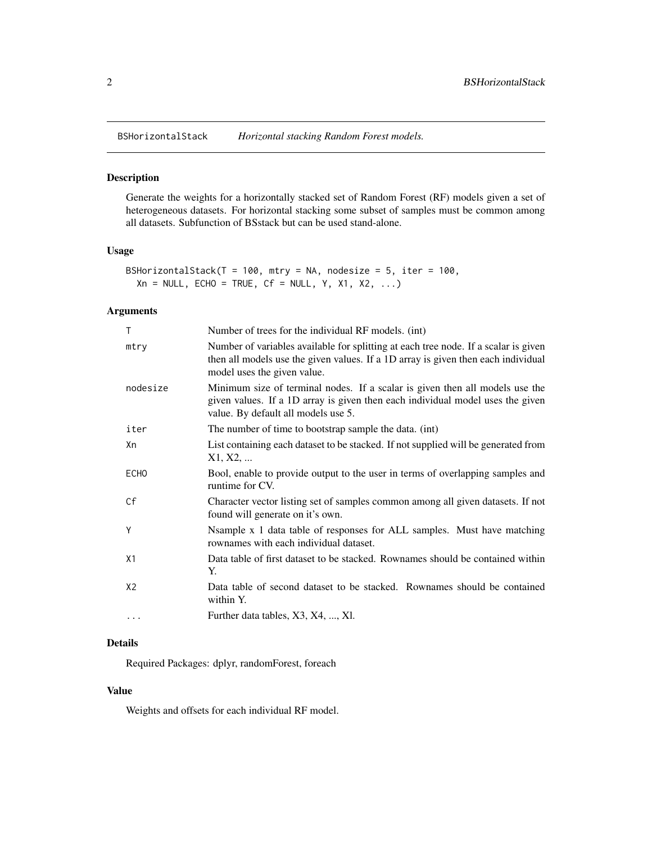<span id="page-1-0"></span>

#### Description

Generate the weights for a horizontally stacked set of Random Forest (RF) models given a set of heterogeneous datasets. For horizontal stacking some subset of samples must be common among all datasets. Subfunction of BSstack but can be used stand-alone.

#### Usage

```
BSHorizontalStack(T = 100, mtry = NA, nodesize = 5, iter = 100,
 Xn = NULL, ECHO = TRUE, Cf = NULL, Y, X1, X2, ...)
```
#### Arguments

| $\mathsf{T}$   | Number of trees for the individual RF models. (int)                                                                                                                                                     |
|----------------|---------------------------------------------------------------------------------------------------------------------------------------------------------------------------------------------------------|
| mtry           | Number of variables available for splitting at each tree node. If a scalar is given<br>then all models use the given values. If a 1D array is given then each individual<br>model uses the given value. |
| nodesize       | Minimum size of terminal nodes. If a scalar is given then all models use the<br>given values. If a 1D array is given then each individual model uses the given<br>value. By default all models use 5.   |
| iter           | The number of time to bootstrap sample the data. (int)                                                                                                                                                  |
| Xn             | List containing each dataset to be stacked. If not supplied will be generated from<br>X1, X2,                                                                                                           |
| <b>ECHO</b>    | Bool, enable to provide output to the user in terms of overlapping samples and<br>runtime for CV.                                                                                                       |
| Cf             | Character vector listing set of samples common among all given datasets. If not<br>found will generate on it's own.                                                                                     |
| Y              | Nsample x 1 data table of responses for ALL samples. Must have matching<br>rownames with each individual dataset.                                                                                       |
| X1             | Data table of first dataset to be stacked. Rownames should be contained within<br>Y.                                                                                                                    |
| X <sub>2</sub> | Data table of second dataset to be stacked. Rownames should be contained<br>within Y.                                                                                                                   |
| $\cdots$       | Further data tables, X3, X4, , X1.                                                                                                                                                                      |

#### Details

Required Packages: dplyr, randomForest, foreach

#### Value

Weights and offsets for each individual RF model.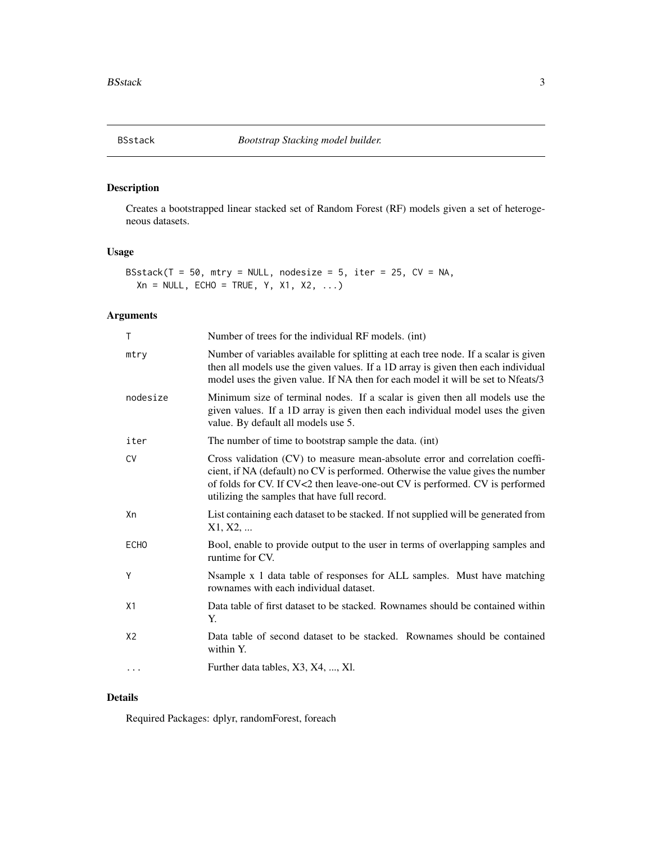<span id="page-2-0"></span>

#### Description

Creates a bootstrapped linear stacked set of Random Forest (RF) models given a set of heterogeneous datasets.

#### Usage

BSstack(T = 50, mtry = NULL, nodesize = 5, iter = 25,  $CV = NA$ ,  $Xn = NULL, ECHO = TRUE, Y, X1, X2, ...$ 

#### Arguments

| $\mathsf{T}$   | Number of trees for the individual RF models. (int)                                                                                                                                                                                                                                             |
|----------------|-------------------------------------------------------------------------------------------------------------------------------------------------------------------------------------------------------------------------------------------------------------------------------------------------|
| mtry           | Number of variables available for splitting at each tree node. If a scalar is given<br>then all models use the given values. If a 1D array is given then each individual<br>model uses the given value. If NA then for each model it will be set to Nfeats/3                                    |
| nodesize       | Minimum size of terminal nodes. If a scalar is given then all models use the<br>given values. If a 1D array is given then each individual model uses the given<br>value. By default all models use 5.                                                                                           |
| iter           | The number of time to bootstrap sample the data. (int)                                                                                                                                                                                                                                          |
| <b>CV</b>      | Cross validation (CV) to measure mean-absolute error and correlation coeffi-<br>cient, if NA (default) no CV is performed. Otherwise the value gives the number<br>of folds for CV. If CV<2 then leave-one-out CV is performed. CV is performed<br>utilizing the samples that have full record. |
| Xn             | List containing each dataset to be stacked. If not supplied will be generated from<br>X1, X2,                                                                                                                                                                                                   |
| <b>ECHO</b>    | Bool, enable to provide output to the user in terms of overlapping samples and<br>runtime for CV.                                                                                                                                                                                               |
| Y              | Nsample x 1 data table of responses for ALL samples. Must have matching<br>rownames with each individual dataset.                                                                                                                                                                               |
| X1             | Data table of first dataset to be stacked. Rownames should be contained within<br>Y.                                                                                                                                                                                                            |
| X <sub>2</sub> | Data table of second dataset to be stacked. Rownames should be contained<br>within Y.                                                                                                                                                                                                           |
| $\cdots$       | Further data tables, X3, X4, , Xl.                                                                                                                                                                                                                                                              |
|                |                                                                                                                                                                                                                                                                                                 |

#### Details

Required Packages: dplyr, randomForest, foreach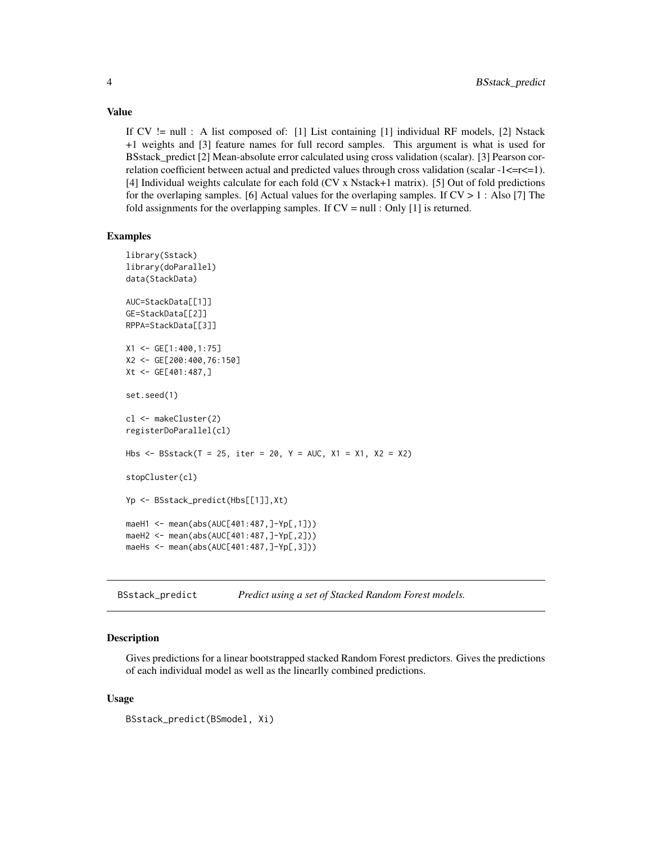Value

If  $CV$  != null : A list composed of: [1] List containing [1] individual RF models, [2] Nstack +1 weights and [3] feature names for full record samples. This argument is what is used for BSstack\_predict [2] Mean-absolute error calculated using cross validation (scalar). [3] Pearson correlation coefficient between actual and predicted values through cross validation (scalar  $-1 < = r < 1$ ). [4] Individual weights calculate for each fold (CV x Nstack+1 matrix). [5] Out of fold predictions for the overlaping samples. [6] Actual values for the overlaping samples. If  $CV > 1$ : Also [7] The fold assignments for the overlapping samples. If  $CV = null$ : Only [1] is returned.

#### Examples

```
library(Sstack)
library(doParallel)
data(StackData)
AUC=StackData[[1]]
GE=StackData[[2]]
RPPA=StackData[[3]]
X1 <- GE[1:400,1:75]
X2 <- GE[200:400,76:150]
Xt <- GE[401:487,]
set.seed(1)
cl <- makeCluster(2)
registerDoParallel(cl)
Hbs <- BSstack(T = 25, iter = 20, Y = AUC, X1 = X1, X2 = X2)
stopCluster(cl)
Yp <- BSstack_predict(Hbs[[1]],Xt)
maeH1 <- mean(abs(AUC[401:487,]-Yp[,1]))
maeH2 <- mean(abs(AUC[401:487,]-Yp[,2]))
maeHs <- mean(abs(AUC[401:487,]-Yp[,3]))
```
BSstack\_predict *Predict using a set of Stacked Random Forest models.*

#### Description

Gives predictions for a linear bootstrapped stacked Random Forest predictors. Gives the predictions of each individual model as well as the linearlly combined predictions.

#### Usage

```
BSstack_predict(BSmodel, Xi)
```
<span id="page-3-0"></span>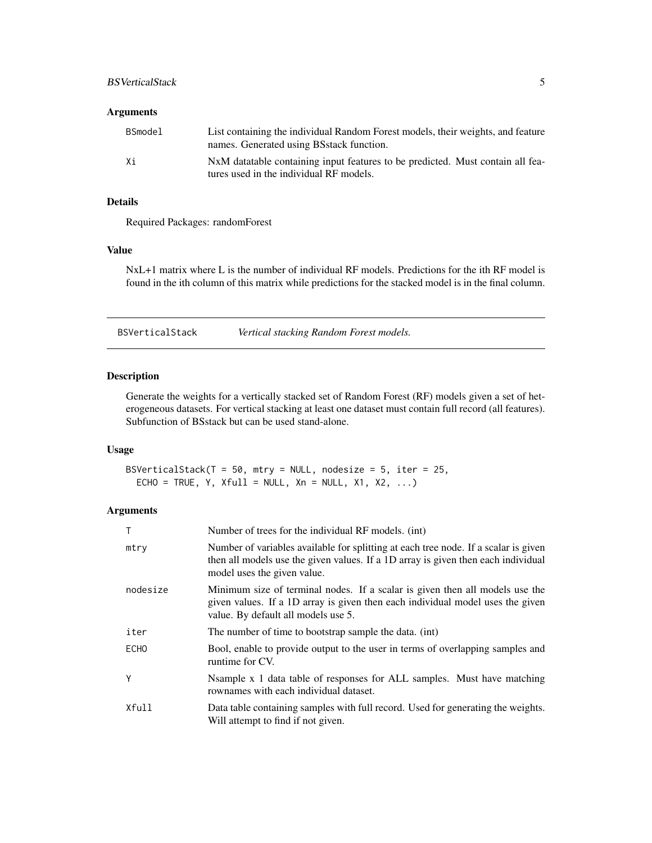#### <span id="page-4-0"></span>BSVerticalStack 5

#### Arguments

| BSmodel | List containing the individual Random Forest models, their weights, and feature<br>names. Generated using BSstack function. |
|---------|-----------------------------------------------------------------------------------------------------------------------------|
| Хi      | NxM datatable containing input features to be predicted. Must contain all fea-<br>tures used in the individual RF models.   |

#### Details

Required Packages: randomForest

#### Value

NxL+1 matrix where L is the number of individual RF models. Predictions for the ith RF model is found in the ith column of this matrix while predictions for the stacked model is in the final column.

BSVerticalStack *Vertical stacking Random Forest models.*

#### Description

Generate the weights for a vertically stacked set of Random Forest (RF) models given a set of heterogeneous datasets. For vertical stacking at least one dataset must contain full record (all features). Subfunction of BSstack but can be used stand-alone.

#### Usage

BSVerticalStack( $T = 50$ , mtry = NULL, nodesize = 5, iter = 25, ECHO = TRUE, Y,  $Xfull = NULL$ ,  $Xn = NULL$ ,  $X1$ ,  $X2$ , ...)

#### Arguments

| T           | Number of trees for the individual RF models. (int)                                                                                                                                                     |
|-------------|---------------------------------------------------------------------------------------------------------------------------------------------------------------------------------------------------------|
| mtry        | Number of variables available for splitting at each tree node. If a scalar is given<br>then all models use the given values. If a 1D array is given then each individual<br>model uses the given value. |
| nodesize    | Minimum size of terminal nodes. If a scalar is given then all models use the<br>given values. If a 1D array is given then each individual model uses the given<br>value. By default all models use 5.   |
| iter        | The number of time to bootstrap sample the data. (int)                                                                                                                                                  |
| <b>ECHO</b> | Bool, enable to provide output to the user in terms of overlapping samples and<br>runtime for CV.                                                                                                       |
| Υ           | Nsample x 1 data table of responses for ALL samples. Must have matching<br>rownames with each individual dataset.                                                                                       |
| Xfull       | Data table containing samples with full record. Used for generating the weights.<br>Will attempt to find if not given.                                                                                  |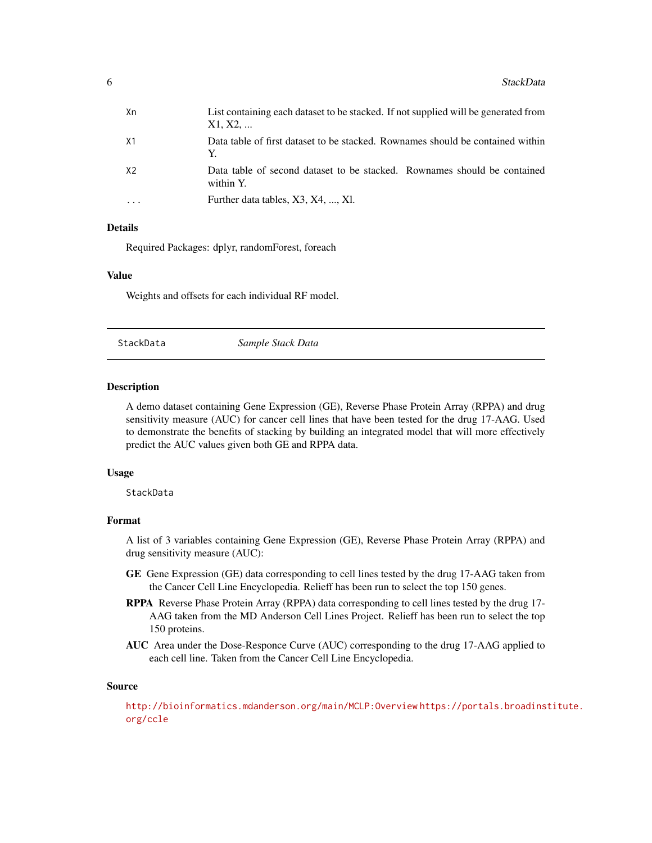<span id="page-5-0"></span>

| Xn             | List containing each dataset to be stacked. If not supplied will be generated from<br>X1, X2, |
|----------------|-----------------------------------------------------------------------------------------------|
| X1             | Data table of first dataset to be stacked. Rownames should be contained within<br>Y.          |
| X <sub>2</sub> | Data table of second dataset to be stacked. Rownames should be contained<br>within Y.         |
| $\ddotsc$      | Further data tables, X3, X4, , X1.                                                            |

#### Details

Required Packages: dplyr, randomForest, foreach

#### Value

Weights and offsets for each individual RF model.

StackData *Sample Stack Data*

#### Description

A demo dataset containing Gene Expression (GE), Reverse Phase Protein Array (RPPA) and drug sensitivity measure (AUC) for cancer cell lines that have been tested for the drug 17-AAG. Used to demonstrate the benefits of stacking by building an integrated model that will more effectively predict the AUC values given both GE and RPPA data.

#### Usage

StackData

#### Format

A list of 3 variables containing Gene Expression (GE), Reverse Phase Protein Array (RPPA) and drug sensitivity measure (AUC):

- GE Gene Expression (GE) data corresponding to cell lines tested by the drug 17-AAG taken from the Cancer Cell Line Encyclopedia. Relieff has been run to select the top 150 genes.
- RPPA Reverse Phase Protein Array (RPPA) data corresponding to cell lines tested by the drug 17- AAG taken from the MD Anderson Cell Lines Project. Relieff has been run to select the top 150 proteins.
- AUC Area under the Dose-Responce Curve (AUC) corresponding to the drug 17-AAG applied to each cell line. Taken from the Cancer Cell Line Encyclopedia.

#### Source

<http://bioinformatics.mdanderson.org/main/MCLP:Overview> [https://portals.broadins](https://portals.broadinstitute.org/ccle)titute. [org/ccle](https://portals.broadinstitute.org/ccle)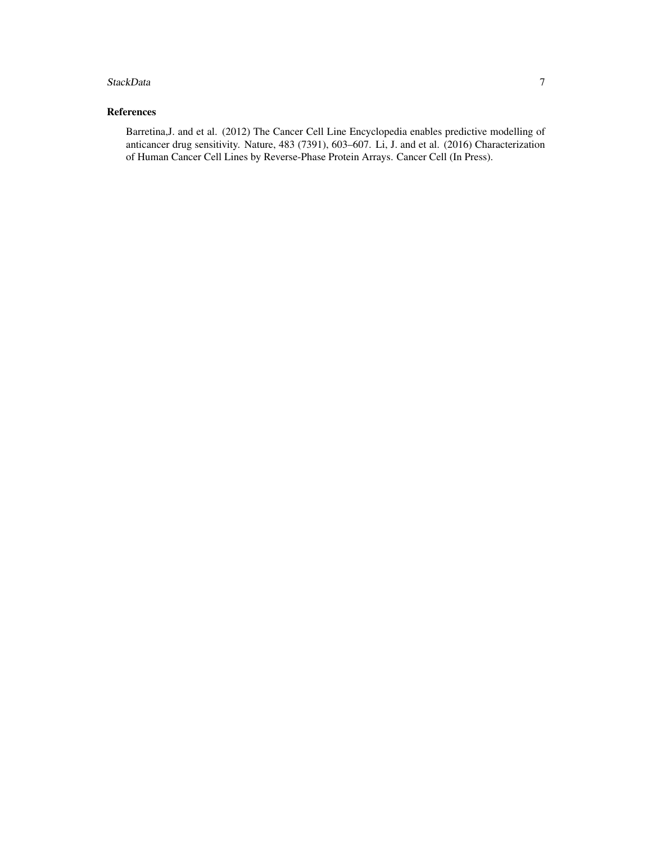#### StackData 7 and 2012 12:00 the state of the state of the state of the state of the state of the state of the state of the state of the state of the state of the state of the state of the state of the state of the state of

#### References

Barretina,J. and et al. (2012) The Cancer Cell Line Encyclopedia enables predictive modelling of anticancer drug sensitivity. Nature, 483 (7391), 603–607. Li, J. and et al. (2016) Characterization of Human Cancer Cell Lines by Reverse-Phase Protein Arrays. Cancer Cell (In Press).